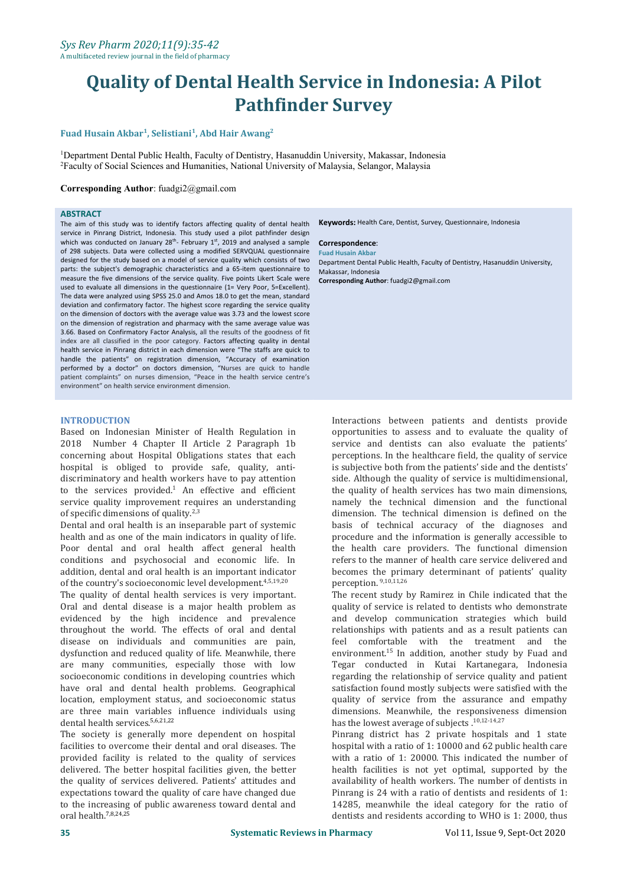# **Quality of Dental Health Service in Indonesia: A Pilot Pathfinder Survey**

#### **Fuad Husain Akbar 1 , Selistiani<sup>1</sup> , Abd Hair Awang 2**

<sup>1</sup>Department Dental Public Health, Faculty of Dentistry, Hasanuddin University, Makassar, Indonesia <sup>2</sup>Faculty of Social Sciences and Humanities, National University of Malaysia, Selangor, Malaysia

#### **Corresponding Author**: [fuadgi2@gmail.com](mailto:fuadgi2@gmail.com)

#### **ABSTRACT**

The aim of this study was to identify factors affecting quality of dental health service in Pinrang District, Indonesia. This study used a pilot pathfinder design which was conducted on January  $28^{\text{th}}$ - February  $1^{\text{st}}$ , 2019 and analysed a sample **Correspondence**: of 298 subjects. Data were collected using a modified SERVQUAL questionnaire designed for the study based on amodel of service quality which consists of two parts: the subject's demographic characteristics and a 65-item questionnaire to measure the five dimensions of the service quality. Five points Likert Scale were used to evaluate all dimensions in the questionnaire (1= Very Poor, 5=Excellent). The data were analyzed using SPSS 25.0 and Amos 18.0 to get the mean, standard deviation and confirmatory factor. The highest score regarding the service quality on the dimension of doctors with the average value was 3.73 and the lowest score on the dimension of registration and pharmacy with the same average value was 3.66. Based on Confirmatory Factor Analysis, all the results of the goodness of fit index are all classified in the poor category. Factors affecting quality in dental health service in Pinrang district in each dimension were "The staffs are quick to handle the patients" on registration dimension, "Accuracy of examination performed by a doctor" on doctors dimension, "Nurses are quick to handle patient complaints" on nurses dimension, "Peace in the health service centre's environment" on health service environment dimension.

#### **INTRODUCTION**

Based on Indonesian Minister of Health Regulation in 2018 Number 4 Chapter II Article 2 Paragraph 1b concerning about Hospital Obligations states that each hospital is obliged to provide safe, quality, anti discriminatory and health workers have to pay attention<br>to the services  $provided<sup>1</sup>$  An effective and efficient service quality improvement requires an understanding of specific dimensions of quality. $2,3$ 

Dental and oral health is an inseparable part of systemic<br>health and as one of the main indicators in quality of life. Poor dental and oral health affect general health conditions and psychosocial and economic life. In addition, dental and oral health is an important indicator of the country's socioeconomic level development.<sup>4,5,19,20</sup>

The quality of dental health services is very important. Oral and dental disease is a major health problem as evidenced by the high incidence and prevalence throughout the world. The effects of oral and dental disease on individuals and communities are pain, dysfunction and reduced quality of life. Meanwhile, there are many communities, especially those with low socioeconomic conditions in developing countries which have oral and dental health problems. Geographical location, employment status, and socioeconomic status are three main variables influence individuals using dental health services.<sup>5,6,21,22</sup>

The society is generally more dependent on hospital facilities to overcome their dental and oral diseases. The provided facility is related to the quality of services delivered. The better hospital facilities given, the better the quality of services delivered. Patients' attitudes and expectations toward the quality of care have changed due to the increasing of public awareness toward dental and oral health.7,8,24,25

**Keywords:** Health Care, Dentist, Survey, Questionnaire, Indonesia

#### **Correspondence**:

**Fuad Husain Akbar** Department Dental Public Health, Faculty of Dentistry, Hasanuddin University, Makassar, Indonesia

**Corresponding Author**: [fuadgi2@gmail.com](mailto:fuadgi2@gmail.com)

Interactions between patients and dentists provide opportunities to assess and to evaluate the quality of service and dentists can also evaluate the patients' perceptions. In the healthcare field, the quality of service is subjective both from the patients' side and the dentists' side. Although the quality of service is multidimensional, the quality of health services has two main dimensions, namely the technical dimension and the functional dimension. The technical dimension is defined on the basis of technical accuracy of the diagnoses and procedure and the information is generally accessible to the health care providers. The functional dimension refers to the manner of health care service delivered and becomes the primary determinant of patients' quality perception. 9,10,11,26

The recent study by Ramirez in Chile indicated that the quality of service is related to dentists who demonstrate and develop communication strategies which build relationships with patients and as a result patients can feel comfortable with the treatment and the environment.<sup>15</sup> In addition, another study by Fuad and Tegar conducted in Kutai Kartanegara, Indonesia regarding the relationship of service quality and patient satisfaction found mostly subjects were satisfied with the quality of service from the assurance and empathy dimensions. Meanwhile, the responsiveness dimension has the lowest average of subjects .<sup>10,12-14,27</sup>

Pinrang district has 2 private hospitals and 1 state hospital with a ratio of 1: 10000 and 62 public health care with a ratio of 1: 20000. This indicated the number of health facilities is not yet optimal, supported by the availability of health workers. The number of dentists in Pinrang is 24 with a ratio of dentists and residents of 1: 14285, meanwhile the ideal category for the ratio of dentists and residents according to WHO is 1: 2000, thus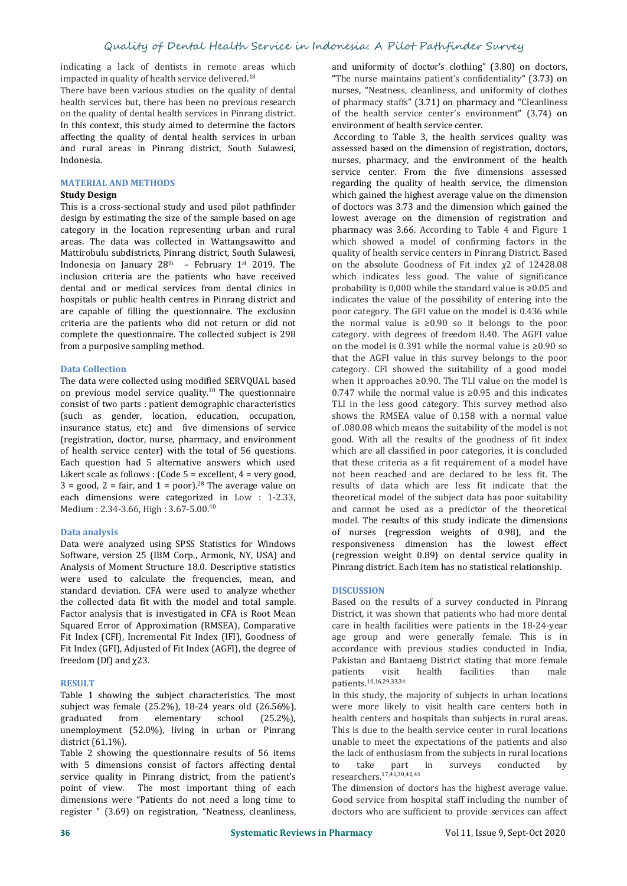indicating a lack of dentists in remote areas which impacted in quality of health service delivered.<sup>18</sup>

There have been various studies on the quality of dental health services but, there has been no previous research on the quality of dental health services in Pinrang district. In this context, this study aimed to determine the factors affecting the quality of dental health services in urban and rural areas in Pinrang district, South Sulawesi, Indonesia.

#### **MATERIAL AND METHODS**

#### **Study Design**

This is a cross-sectional study and used pilot pathfinder design by estimating the size of the sample based on age category in the location representing urban and rural areas. The data was collected in Wattangsawitto and Mattirobulu subdistricts, Pinrang district, South Sulawesi, Indonesia on January 28<sup>th</sup> – February 1<sup>st</sup> 2019. The con the abso inclusion criteria are the patients who have received dental and or medical services from dental clinics in hospitals or public health centres in Pinrang district and are capable of filling the questionnaire. The exclusion criteria are the patients who did not return or did not complete the questionnaire. The collected subject is 298 from a purposive sampling method.

#### **Data Collection**

The data were collected using modified SERVQUAL based on previous model service quality.<sup>10</sup> The questionnaire consist of two parts : patient demographic characteristics (such as gender, location, education, occupation, insurance status, etc) and five dimensions of service (registration, doctor, nurse, pharmacy, and environment of health service center) with the total of 56 questions. Each question had 5 alternative answers which used Likert scale as follows : (Code 5 = excellent, 4 = very good,  $3 = \text{good}$ ,  $2 = \text{fair}$ , and  $1 = \text{poor}$ ).<sup>28</sup> The average value on each dimensions were categorized in Low : 1-2.33, Medium : 2.34-3.66, High : 3.67-5.00.<sup>40</sup>

#### **Data analysis**

Data were analyzed using SPSS Statistics for Windows Software, version 25 (IBM Corp., Armonk, NY, USA) and Analysis of Moment Structure 18.0. Descriptive statistics were used to calculate the frequencies, mean, and standard deviation. CFA were used to analyze whether the collected data fit with the model and total sample. Factor analysis that is investigated in CFA is Root Mean Squared Error of Approximation (RMSEA), Comparative Fit Index (CFI), Incremental Fit Index (IFI), Goodness of Fit Index (GFI), Adjusted of Fit Index (AGFI), the degree of freedom (Df) and χ23.

#### **RESULT**

Table 1 showing the subject characteristics. The most subject was female (25.2%), 18-24 years old (26.56%), graduated from elementary school (25.2%), graduated from elementary school (25.2%), unemployment (52.0%), living in urban or Pinrang district (61.1%).

Table 2 showing the questionnaire results of 56 items the lack of with 5 dimensions consist of factors affecting dental to take with 5 dimensions consist of factors affecting dental service quality in Pinrang district, from the patient's point of view. The most important thing of each dimensions were "Patients do not need a long time to register " (3.69) on registration, "Neatness, cleanliness,

and uniformity of doctor's clothing" (3.80) on doctors, "The nurse maintains patient's confidentiality" (3.73) on nurses, "Neatness, cleanliness, and uniformity of clothes of pharmacy staffs" (3.71) on pharmacy and "Cleanliness of the health service center's environment" (3.74) on environment of health service center.

According to Table 3, the health services quality was assessed based on the dimension of registration, doctors, nurses, pharmacy, and the environment of the health service center. From the five dimensions assessed regarding the quality of health service, the dimension which gained the highest average value on the dimension of doctors was 3.73 and the dimension which gained the lowest average on the dimension of registration and pharmacy was 3.66. According to Table 4 and Figure 1 which showed a model of confirming factors in the quality of health service centers in Pinrang District. Based on the absolute Goodness of Fit index χ2 of 12428.08 which indicates less good. The value of significance probability is 0,000 while the standard value is ≥0.05 and indicates the value of the possibility of entering into the poor category. The GFI value on the model is 0.436 while the normal value is ≥0.90 so it belongs to the poor category. with degrees of freedom 8.40. The AGFI value on the model is 0.391 while the normal value is ≥0.90 so that the AGFI value in this survey belongs to the poor category. CFI showed the suitability of a good model when it approaches ≥0.90. The TLI value on the model is 0.747 while the normal value is≥0.95 and this indicates TLI in the less good category. This survey method also shows the RMSEA value of 0.158 with a normal value of .080.08 which means the suitability of the model is not good. With all the results of the goodness of fit index which are all classified in poor categories, it is concluded that these criteria as a fit requirement of a model have not been reached and are declared to be less fit.The results of data which are less fit indicate that the theoretical model of the subject data has poor suitability and cannot be used as a predictor of the theoretical model. The results of this study indicate the dimensions of nurses (regression weights of 0.98), and the responsiveness dimension has the lowest effect (regression weight 0.89) on dental service quality in Pinrang district. Each item has no statistical relationship.

#### **DISCUSSION**

Based on the results of a survey conducted in Pinrang District, it was shown that patients who had more dental care in health facilities were patients in the 18-24-year age group and were generally female. This is in accordance with previous studies conducted in India, Pakistan and Bantaeng District stating that more female<br>patients visit health facilities than male patients visit health facilities than male patients.10,16,29,33,34

In this study, the majority of subjects in urban locations were more likely to visit health care centers both in health centers and hospitals than subjects in rural areas. This is due to the health service center in rural locations unable to meet the expectations of the patients and also the lack of enthusiasm from the subjects in rural locations<br>to take part in surveys conducted by to take part in surveys conducted by researchers.17,41,30,42,43

The dimension of doctors has the highest average value. Good service from hospital staff including the number of doctors who are sufficient to provide services can affect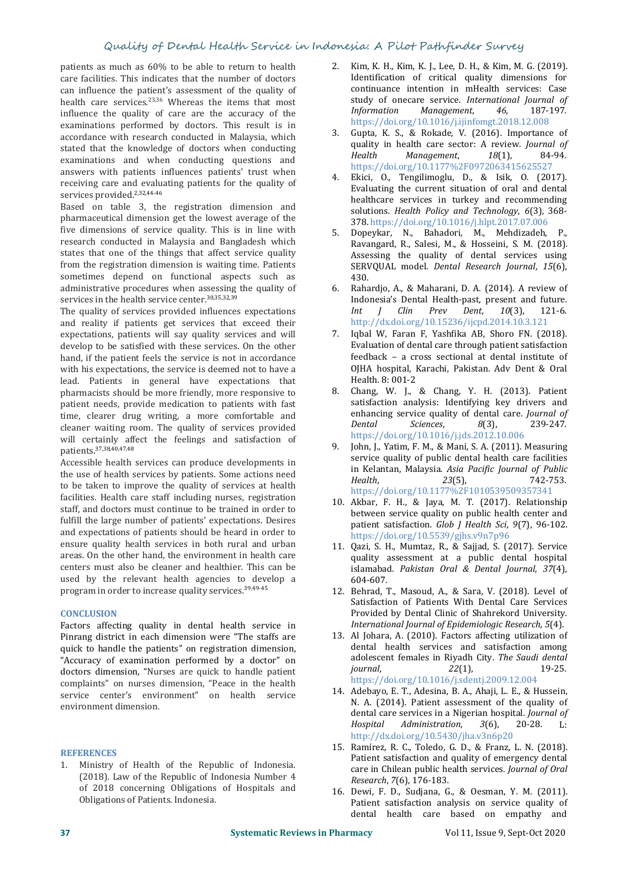### Quality of Dental Health Service in Indonesia: A Pilot Pathfinder Survey

patients as much as 60% to be able to return to health care facilities. This indicates that the number of doctors can influence the patient's assessment of the quality of health care services.<sup>23,36</sup> Whereas the items that most study of our influence the quality of care are the accuracy of the *Information* influence the quality of care are the accuracy of the examinations performed by doctors. This result is in accordance with research conducted in Malaysia, which stated that the knowledge of doctors when conducting quality<br>Health examinations and when conducting questions and answers with patients influences patients' trust when receiving care and evaluating patients for the quality of services provided.<sup>2,32,44-46</sup>

Based on table 3, the registration dimension and pharmaceutical dimension get the lowest average of the five dimensions of service quality. This is in line with  $\epsilon$ research conducted in Malaysia and Bangladesh which states that one of the things that affect service quality from the registration dimension is waiting time. Patients sometimes depend on functional aspects such as administrative procedures when assessing the quality of services in the health service center.<sup>30,35,32,39</sup>

The quality of services provided influences expectations expectations, patients will say quality services and will develop to be satisfied with these services. On the other hand, if the patient feels the service is not in accordance with his expectations, the service is deemed not to have a lead. Patients in general have expectations that pharmacists should be more friendly, more responsive to patient needs, provide medication to patients with fast time, clearer drug writing, a more comfortable and **enhance confortable** and **enhance** cleaner waiting room. The quality of services provided will certainly affect the feelings and satisfaction of patients.37,38,40,47,48

Accessible health services can produce developments in the use of health services by patients. Some actions need<br>Health. to be taken to improve the quality of services at health facilities. Health care staff including nurses, registration staff, and doctors must continue to be trained in order to fulfill the large number of patients' expectations. Desires and expectations of patients should be heard in order to ensure quality health services in both rural and urban areas. On the other hand, the environment in health care centers must also be cleaner and healthier. This can be used by the relevant health agencies to develop a program in order to increase quality services.<sup>39,49-45</sup>

#### **CONCLUSION**

Factors affecting quality in dental health service in Pinrang district in each dimension were "The staffs are quick to handle the patients" on registration dimension, "Accuracy of examination performed by a doctor" on doctors dimension, "Nurses are quick to handle patient complaints" on nurses dimension, "Peace in the health service center's environment" on health service environment dimension.

#### **REFERENCES**

1. Ministry of Health of the Republic of Indonesia. (2018). Law of the Republic of Indonesia Number 4 of 2018 concerning Obligations of Hospitals and Obligations of Patients. Indonesia.

- 2. Kim, K. H., Kim, K. J., Lee, D. H., & Kim, M. G. (2019). Identification of critical quality dimensions for continuance intention in mHealth services: Case study of onecare service. *International Journal of*  $M$ anagement, https://doi.org/10.1016/j.ijinfomgt.2018.12.008
- 3. Gupta, K. S., & Rokade, V. (2016). Importance of quality in health care sector: A review. *Journal of*<br> *Health* Management, 18(1), 84-94. *Health Management*, *18*(1), 84-94. https://doi.org/10.1177%2F0972063415625527
- 4. Ekici, O., Tengilimoglu, D., & Isik, O. (2017). Evaluating the current situation of oral and dental healthcare services in turkey and recommending solutions. *Health Policy and Technology*, *6*(3), 368- 378. https://doi.org/10.1016/j.hlpt.2017.07.006
- 5. Dopeykar, N., Bahadori, M., Mehdizadeh, P., Ravangard, R., Salesi, M., & Hosseini, S. M. (2018). Assessing the quality of dental services using SERVQUAL model. *Dental Research Journal*, *15*(6), 430.
- 6. Rahardjo, A., & Maharani, D. A. (2014). A review of Indonesia's Dental Health-past, present and future. *Int <sup>J</sup> Clin Prev Dent*, *<sup>10</sup>*(3), 121-6. http://dx.doi.org/10.15236/ijcpd.2014.10.3.121
- Iqbal W, Faran F, Yashfika AB, Shoro FN. (2018). Evaluation of dental care through patient satisfaction feedback – a cross sectional at dental institute of OJHA hospital, Karachi, Pakistan. Adv Dent & Oral Health. 8: 001-2
- 8. Chang, W. J., & Chang, Y. H. (2013). Patient satisfaction analysis: Identifying key drivers and enhancing service quality of dental care. *Journal of*<br>*Dental Sciences*, *8*(3), 239-247. *Dental Sciences*, *8*(3), 239-247. https://doi.org/10.1016/j.jds.2012.10.006
- 9. John, J., Yatim, F. M., & Mani, S. A. (2011). Measuring service quality of public dental health care facilities in Kelantan, Malaysia. *Asia Pacific Journal of Public Health*, *<sup>23</sup>*(5), 742-753. https://doi.org/10.1177%2F1010539509357341
- 10. Akbar, F. H., & Jaya, M. T. (2017). Relationship between service quality on public health center and patient satisfaction. *Glob J Health Sci*, *9*(7), 96-102. https://doi.org/10.5539/gjhs.v9n7p96
- 11. Qazi, S. H., Mumtaz, R., & Sajjad, S. (2017). Service quality assessment at a public dental hospital islamabad. *Pakistan Oral & Dental Journal*, *37*(4), 604-607.
- 12. Behrad, T., Masoud, A., & Sara, V. (2018). Level of Satisfaction of Patients With Dental Care Services<br>Provided by Dental Clinic of Shahrekord University. Provided by Dental Clinic of Shahrekord University. *International Journal of Epidemiologic Research*, *<sup>5</sup>*(4).
- 13. Al Johara, A. (2010). Factors affecting utilization of dental health services and satisfaction among adolescent females in Riyadh City. *The Saudi dental journal*, *22*(1), 19-25. https://doi.org/10.1016/j.sdentj.2009.12.004
- 14. Adebayo, E. T., Adesina, B. A., Ahaji, L. E., & Hussein, N. A. (2014). Patient assessment of the quality of dental care services in a Nigerian hospital. *Journal of*  $Administration,$ http://dx.doi.org/10.5430/jha.v3n6p20<br>15. Ramírez, R. C., Toledo, G. D., & Franz, L. N. (2018).
- Patient satisfaction and quality of emergency dental care in Chilean public health services. *Journal of Oral Research*, *7*(6), 176-183.
- 16. Dewi, F. D., Sudjana, G., & Oesman, Y. M. (2011). Patient satisfaction analysis on service quality of dental health care based on empathy and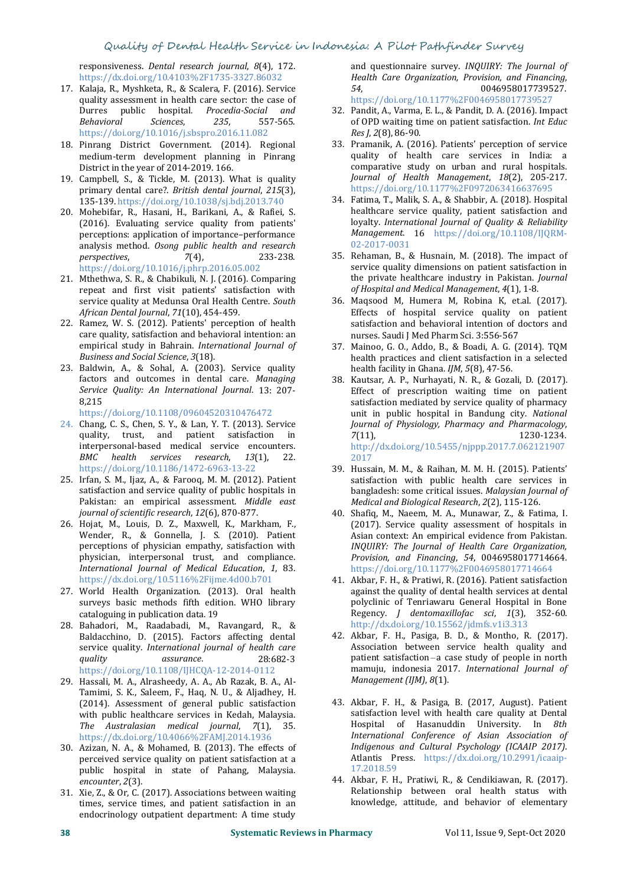responsiveness. *Dental research journal*, *8*(4), 172. https://dx.doi.org/10.4103%2F1735-3327.86032<br>Kalaja, R., Myshketa, R., & Scalera, F. (2016), Service 54.

- 17. Kalaja, R., Myshketa, R., & Scalera, F. (2016). Service quality assessment in health care sector: the case of Durres public hospital. *Procedia-Social and Behavioral Sciences*, *235*, 557-565. https://doi.org/10.1016/j.sbspro.2016.11.082 Res J, 2(8), 86-90.
- 18. Pinrang District Government. (2014). Regional District in the year of 2014-2019. 166.
- 19. Campbell, S., & Tickle, M. (2013). What is quality primary dental care?. *British dental journal*, *215*(3), 135-139. https://doi.org/10.1038/sj.bdj.2013.740
- 20. Mohebifar, R., Hasani, H., Barikani, A., & Rafiei, S. (2016). Evaluating service quality from patients' perceptions: application of importance–performance analysis method. *Osong public health and research perspectives*, *7*(4), 233-238.
- 21. Mthethwa, S. R., & Chabikuli, N. J. (2016). Comparing repeat and first visit patients' satisfaction with service quality at Medunsa Oral Health Centre. *South African Dental Journal*, *71*(10), 454-459.
- 22. Ramez, W. S. (2012). Patients' perception of health care quality, satisfaction and behavioral intention: an empirical study in Bahrain. *International Journal of Business and Social Science*, *3*(18).
- 23. Baldwin, A., & Sohal, A. (2003). Service quality factors and outcomes in dental care. *Managing Service Quality: An International Journal*. 13: 207- 8,215

https://doi.org/10.1108/09604520310476472

- 24. Chang, C. S., Chen, S. Y., & Lan, Y. T. (2013). Service quality, trust, and patient satisfaction in  $\frac{7}{11}$ , interpersonal-based medical service encounters. BMC health services research, 13(1), 22. https://doi.org/10.1186/1472-6963-13-22
- 25. Irfan, S. M., Ijaz, A., & Farooq, M. M. (2012). Patient satisfaction and service quality of public hospitals in Pakistan: an empirical assessment. *Middle east journal of scientific research*, *12*(6), 870-877.
- 26. Hojat, M., Louis, D. Z., Maxwell, K., Markham, F., perceptions of physician empathy, satisfaction with physician, interpersonal trust, and compliance. physician, interpersonal trust, and compliance. *International Journal of Medical Education*, *<sup>1</sup>*, 83. https://dx.doi.org/10.5116%2Fijme.4d00.b701
- 27. World Health Organization. (2013). Oral health surveys basic methods fifth edition. WHO library cataloguing in publication data. 19
- 28. Bahadori, M., Raadabadi, M., Ravangard, R., & http://dx.doi.org/10.15562/jdmfs.v1i3.313<br>Baldacchino, D. (2015). Factors affecting dental 42. Akbar, F. H., Pasiga, B. D., & Montho, R. (2017). Baldacchino, D. (2015). Factors affecting dental service quality. *International journal of health care quality assurance*. 28:682-3 https://doi.org/10.1108/IJHCQA-12-2014-0112
- 29. Hassali, M. A., Alrasheedy, A. A., Ab Razak, B. A., Al- Tamimi, S. K., Saleem, F., Haq, N. U., & Aljadhey, H. (2014). Assessment of general public satisfaction with public healthcare services in Kedah, Malaysia. The Australasian medical journal, 7(1), 35. https://dx.doi.org/10.4066%2FAMJ.2014.1936
- 30. Azizan, N. A., & Mohamed, B. (2013). The effects of perceived service quality on patient satisfaction at a public hospital in state of Pahang, Malaysia. *encounter*, *2*(3).
- 31. Xie, Z., & Or, C. (2017). Associations between waiting times, service times, and patient satisfaction in an endocrinology outpatient department: A time study

and questionnaire survey. *INQUIRY: The Journal of Health Care Organization, Provision, and Financing*, *<sup>54</sup>*, 0046958017739527. https://doi.org/10.1177%2F0046958017739527

- 32. Pandit, A., Varma, E. L., & Pandit, D. A. (2016). Impact of OPD waiting time on patient satisfaction. *Int Educ*
- medium-term development planning in Pinrang and quality of health care services in India: a<br>District in the year of 2014-2019. 166. The comparative study on urban and rural hospitals. 33. Pramanik, A. (2016). Patients' perception of service quality of health care services in India: a Journal of Health Management, 18(2), 205-217. https://doi.org/10.1177%2F0972063416637695
	- 34. Fatima, T., Malik, S. A., & Shabbir, A. (2018). Hospital healthcare service quality, patient satisfaction and loyalty. *International Journal of Quality & Reliability Management*. 16 https://doi.org/10.1108/IJQRM- 02-2017-0031
- https://doi.org/10.1016/j.phrp.2016.05.002 service quality dimensions on patient satisfaction in<br>Mthethwa, S. R., & Chabikuli, N. I. (2016). Comparing the private healthcare industry in Pakistan. *Journal* 35. Rehaman, B., & Husnain, M. (2018). The impact of service quality dimensions on patient satisfaction in the private healthcare industry in Pakistan. *Journal of Hospital and Medical Management*, *<sup>4</sup>*(1), 1-8.
	- 36. Maqsood M, Humera M, Robina K, et.al. (2017). Effects of hospital service quality on patient satisfaction and behavioral intention of doctors and nurses. Saudi J Med Pharm Sci. 3:556-567
	- 37. Mainoo, G. O., Addo, B., & Boadi, A. G. (2014). TQM health practices and client satisfaction in a selected health facility in Ghana. *IJM*, *5*(8), 47-56.
	- 38. Kautsar, A. P., Nurhayati, N. R., & Gozali, D. (2017). Effect of prescription waiting time on patient satisfaction mediated by service quality of pharmacy unit in public hospital in Bandung city.*National Journal of Physiology, Pharmacy and Pharmacology*, *<sup>7</sup>*(11), 1230-1234. http://dx.doi.org/10.5455/njppp.2017.7.062121907 2017
	- 39. Hussain, M. M., & Raihan, M. M. H. (2015). Patients' satisfaction with public health care services in bangladesh: some critical issues. *Malaysian Journal of Medical and Biological Research*, *2*(2), 115-126.
- Wender, R., & Gonnella, J. S. (2010). Patient Asian context: An empirical evidence from Pakistan. 40. Shafiq, M., Naeem, M. A., Munawar, Z., & Fatima, I. (2017). Service quality assessment of hospitals in Asian context: An empirical evidence from Pakistan. *INQUIRY: The Journal of Health Care Organization, Provision, and Financing*, *54*, 0046958017714664. https://doi.org/10.1177%2F0046958017714664
	- 41. Akbar, F. H., & Pratiwi, R. (2016). Patient satisfaction against the quality of dental health services at dental polyclinic of Tenriawaru General Hospital in Bone Regency. *J dentomaxillofac sci*, *1*(3), 352-60. http://dx.doi.org/10.15562/jdmfs.v1i3.313
	- Association between service health quality and patient satisfaction–a case study of people in north mamuju, indonesia 2017. *International Journal of Management (IJM)*, *8*(1).
	- 43. Akbar, F. H., & Pasiga, B. (2017, August). Patient satisfaction level with health care quality at Dental Hospital of Hasanuddin University. In *8th International Conference of Asian Association of Indigenous and Cultural Psychology (ICAAIP 2017)*. Atlantis Press. https://dx.doi.org/10.2991/icaaip- 17.2018.59
	- 44. Akbar, F. H., Pratiwi, R., & Cendikiawan, R. (2017). Relationship between oral health status with knowledge, attitude, and behavior of elementary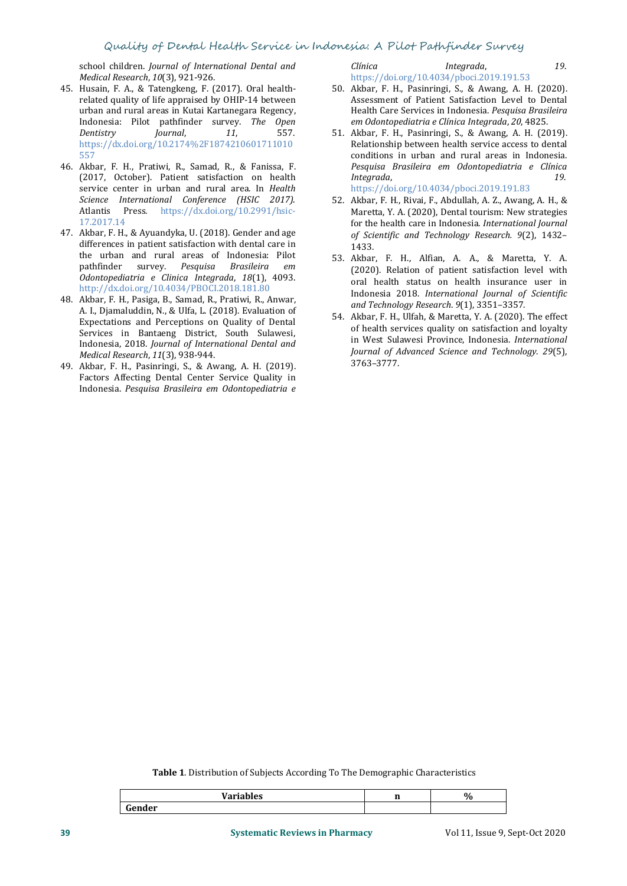school children. *Journal of International Dental and Medical Research*, *10*(3), 921-926.

- 45. Husain, F. A., & Tatengkeng, F. (2017). Oral health related quality of life appraised by OHIP-14 between urban and rural areas in Kutai Kartanegara Regency, Indonesia: Pilot pathfinder survey. *The Open Dentistry Journal*, *<sup>11</sup>*, 557. 557
- 46. Akbar, F. H., Pratiwi, R., Samad, R., & Fanissa, F. (2017, October). Patient satisfaction on health service center in urban and rural area. In *Health Science International Conference (HSIC 2017)*. Atlantis Press. https://dx.doi.org/10.2991/hsic- 17.2017.14
- 47. Akbar, F. H., & Ayuandyka, U. (2018). Gender and age differences in patient satisfaction with dental care in the urban and rural areas of Indonesia: Pilot pathfinder survey. Pesquisa Brasileira em *Odontopediatria e Clinica Integrada*, *18*(1), 4093.
- 48. Akbar, F. H., Pasiga, B., Samad, R., Pratiwi, R., Anwar, A. I., Djamaluddin, N., & Ulfa, L. (2018). Evaluation of Expectations and Perceptions on Quality of Dental Services in Bantaeng District, South Sulawesi, Indonesia, 2018. *Journal of International Dental and Medical Research*, *11*(3), 938-944.
- 49. Akbar, F. H., Pasinringi, S., & Awang, A. H. (2019). Factors Affecting Dental Center Service Quality in Indonesia. *Pesquisa Brasileira em Odontopediatria e*

*Clínica Integrada*, *19*.

https://doi.org/10.4034/pboci.2019.191.53

- 50. Akbar, F. H., Pasinringi, S., & Awang, A. H. (2020). Assessment of Patient Satisfaction Level to Dental Health Care Services in Indonesia. *Pesquisa Brasileira em Odontopediatria e Clínica Integrada*, *20*,4825.
- https://dx.doi.org/10.2174%2F1874210601711010<br>557 conditions in urban and rural areas in Indonesia. 51. Akbar, F. H., Pasinringi, S., & Awang, A. H. (2019). Relationship between health service access to dental conditions in urban and rural areas in Indonesia. *Pesquisa Brasileira em Odontopediatria <sup>e</sup> Clínica Integrada*, *19*. https://doi.org/10.4034/pboci.2019.191.83
	- 52. Akbar, F. H., Rivai, F., Abdullah, A. Z., Awang, A. H., & Maretta, Y. A. (2020), Dental tourism: New strategies for the health care in Indonesia. International Journal for the health care in Indonesia. *International Journal of Scientific and Technology Research. <sup>9</sup>*(2), 1432– 1433.
- pathfinder survey. *Pesquisa Brasileira em* (2020). Relation of patient satisfaction level with http://dx.doi.org/10.4034/PBOCI.2018.181.80<br>Indonesia 2018. International Journal of Scientific 53. Akbar, F. H., Alfian, A. A., & Maretta, Y. A. oral health status on health insurance user in Indonesia 2018. *International Journal of Scientific and Technology Research*. *<sup>9</sup>*(1), 3351–3357.
	- 54. Akbar, F. H., Ulfah, & Maretta, Y. A. (2020). The effect of health services quality on satisfaction and loyalty in West Sulawesi Province, Indonesia. *International Journal of Advanced Science and Technology*. *29*(5), 3763–3777.

**Table 1**. Distribution of Subjects According To The Demographic Characteristics

|     | 0/2 |
|-----|-----|
| $-$ |     |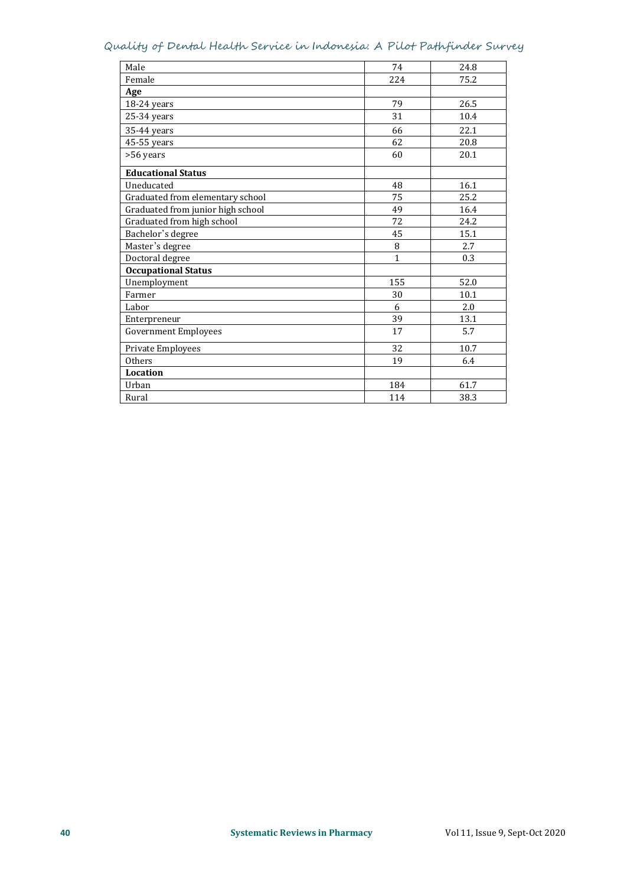## Quality of Dental Health Service in Indonesia: A Pilot Pathfinder Survey

| Male                              | 74           | 24.8 |
|-----------------------------------|--------------|------|
| Female                            | 224          | 75.2 |
| Age                               |              |      |
| 18-24 years                       | 79           | 26.5 |
| 25-34 years                       | 31           | 10.4 |
| 35-44 years                       | 66           | 22.1 |
| 45-55 years                       | 62           | 20.8 |
| >56 years                         | 60           | 20.1 |
| <b>Educational Status</b>         |              |      |
| Uneducated                        | 48           | 16.1 |
| Graduated from elementary school  | 75           | 25.2 |
| Graduated from junior high school | 49           | 16.4 |
| Graduated from high school        | 72           | 24.2 |
| Bachelor's degree                 | 45           | 15.1 |
| Master's degree                   | 8            | 2.7  |
| Doctoral degree                   | $\mathbf{1}$ | 0.3  |
| <b>Occupational Status</b>        |              |      |
| Unemployment                      | 155          | 52.0 |
| Farmer                            | 30           | 10.1 |
| Labor                             | 6            | 2.0  |
| Enterpreneur                      | 39           | 13.1 |
| <b>Government Employees</b>       | 17           | 5.7  |
| Private Employees                 | 32           | 10.7 |
| Others                            | 19           | 6.4  |
| <b>Location</b>                   |              |      |
| Urban                             | 184          | 61.7 |
| Rural                             | 114          | 38.3 |
|                                   |              |      |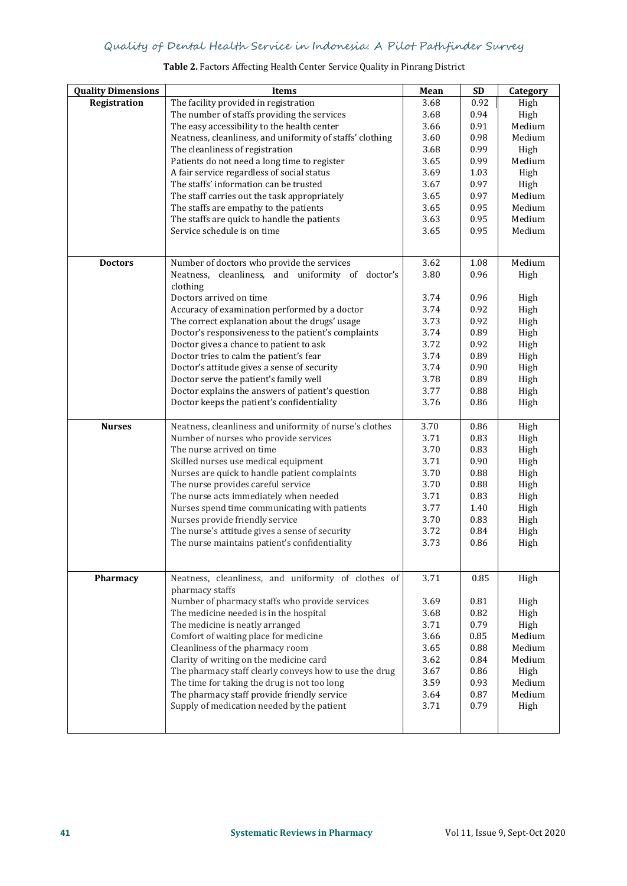| <b>Quality Dimensions</b> | Items                                                     | Mean | <b>SD</b> | Category |
|---------------------------|-----------------------------------------------------------|------|-----------|----------|
| Registration              | The facility provided in registration                     | 3.68 | 0.92      | High     |
|                           | The number of staffs providing the services               | 3.68 | 0.94      | High     |
|                           | The easy accessibility to the health center               | 3.66 | 0.91      | Medium   |
|                           | Neatness, cleanliness, and uniformity of staffs' clothing | 3.60 | 0.98      | Medium   |
|                           | The cleanliness of registration                           | 3.68 | 0.99      | High     |
|                           | Patients do not need a long time to register              | 3.65 | 0.99      | Medium   |
|                           | A fair service regardless of social status                | 3.69 | 1.03      | High     |
|                           | The staffs' information can be trusted                    | 3.67 | 0.97      | High     |
|                           | The staff carries out the task appropriately              | 3.65 | 0.97      | Medium   |
|                           | The staffs are empathy to the patients                    | 3.65 | 0.95      | Medium   |
|                           | The staffs are quick to handle the patients               | 3.63 | 0.95      | Medium   |
|                           | Service schedule is on time                               | 3.65 | 0.95      | Medium   |
|                           |                                                           |      |           |          |
|                           |                                                           |      |           |          |
| <b>Doctors</b>            | Number of doctors who provide the services                | 3.62 | 1.08      | Medium   |
|                           | Neatness, cleanliness, and uniformity of doctor's         | 3.80 | 0.96      | High     |
|                           | clothing                                                  |      |           |          |
|                           | Doctors arrived on time                                   | 3.74 | 0.96      | High     |
|                           | Accuracy of examination performed by a doctor             | 3.74 | 0.92      | High     |
|                           | The correct explanation about the drugs' usage            | 3.73 | 0.92      | High     |
|                           | Doctor's responsiveness to the patient's complaints       | 3.74 | 0.89      | High     |
|                           | Doctor gives a chance to patient to ask                   | 3.72 | 0.92      | High     |
|                           | Doctor tries to calm the patient's fear                   | 3.74 | 0.89      | High     |
|                           | Doctor's attitude gives a sense of security               | 3.74 | 0.90      | High     |
|                           | Doctor serve the patient's family well                    | 3.78 | 0.89      | High     |
|                           | Doctor explains the answers of patient's question         | 3.77 | 0.88      | High     |
|                           | Doctor keeps the patient's confidentiality                | 3.76 | 0.86      | High     |
|                           |                                                           |      |           |          |
| <b>Nurses</b>             | Neatness, cleanliness and uniformity of nurse's clothes   | 3.70 | 0.86      | High     |
|                           | Number of nurses who provide services                     | 3.71 | 0.83      | High     |
|                           | The nurse arrived on time                                 | 3.70 | 0.83      | High     |
|                           | Skilled nurses use medical equipment                      | 3.71 | 0.90      | High     |
|                           | Nurses are quick to handle patient complaints             | 3.70 | 0.88      | High     |
|                           | The nurse provides careful service                        | 3.70 | 0.88      | High     |
|                           | The nurse acts immediately when needed                    | 3.71 | 0.83      | High     |
|                           | Nurses spend time communicating with patients             | 3.77 | 1.40      | High     |
|                           | Nurses provide friendly service                           | 3.70 | 0.83      | High     |
|                           | The nurse's attitude gives a sense of security            | 3.72 | 0.84      | High     |
|                           | The nurse maintains patient's confidentiality             | 3.73 | 0.86      | High     |
|                           |                                                           |      |           |          |
|                           |                                                           |      |           |          |
| Pharmacy                  | Neatness, cleanliness, and uniformity of clothes of       | 3.71 | 0.85      | High     |
|                           | pharmacy staffs                                           |      |           |          |
|                           | Number of pharmacy staffs who provide services            | 3.69 | 0.81      | High     |
|                           | The medicine needed is in the hospital                    | 3.68 | 0.82      | High     |
|                           | The medicine is neatly arranged                           | 3.71 | 0.79      | High     |
|                           | Comfort of waiting place for medicine                     | 3.66 | 0.85      | Medium   |
|                           | Cleanliness of the pharmacy room                          | 3.65 | 0.88      | Medium   |
|                           | Clarity of writing on the medicine card                   | 3.62 | 0.84      | Medium   |
|                           | The pharmacy staff clearly conveys how to use the drug    | 3.67 | 0.86      | High     |
|                           | The time for taking the drug is not too long              | 3.59 | 0.93      | Medium   |
|                           | The pharmacy staff provide friendly service               | 3.64 | 0.87      | Medium   |
|                           | Supply of medication needed by the patient                | 3.71 | 0.79      | High     |
|                           |                                                           |      |           |          |
|                           |                                                           |      |           |          |

#### **Table 2.** Factors Affecting Health Center Service Quality in Pinrang District